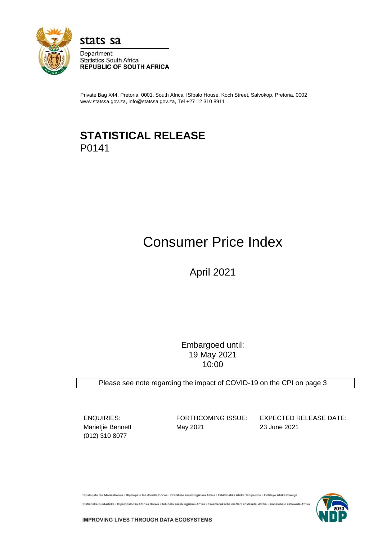

stats sa

Department: **Statistics South Africa REPUBLIC OF SOUTH AFRICA** 

Private Bag X44, Pretoria, 0001, South Africa, ISIbalo House, Koch Street, Salvokop, Pretoria, 0002 www.statssa.gov.za, info@statssa.gov.za, Tel +27 12 310 8911

## **STATISTICAL RELEASE** P0141

# Consumer Price Index

April 2021

Embargoed until: 19 May 2021 10:00

Please see note regarding the impact of COVID-19 on the CPI on page 3

(012) 310 8077

Marietjie Bennett May 2021 23 June 2021

ENQUIRIES: FORTHCOMING ISSUE: EXPECTED RELEASE DATE:

Dipalopalo tsa Aforikaborwa • Dipalopalo tsa Aforika Borwa • Ezazibalo zaseNingizimu Afrika • Tshitatistika Afrika Tshipembe • Tinhlayo Afrika-Dzonga

Statistieke Suid-Afrika • Dipalopalo tša Aforika Borwa • Telubalo zaseNingizimu Afrika • EzeeNkcukacha maNani zoMzantsi Afrika • limbalobalo zeSewula Afrika

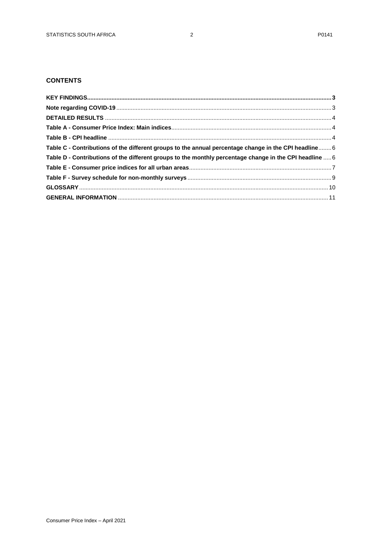## **CONTENTS**

| Table C - Contributions of the different groups to the annual percentage change in the CPI headline 6   |  |
|---------------------------------------------------------------------------------------------------------|--|
| Table D - Contributions of the different groups to the monthly percentage change in the CPI headline  6 |  |
|                                                                                                         |  |
|                                                                                                         |  |
|                                                                                                         |  |
|                                                                                                         |  |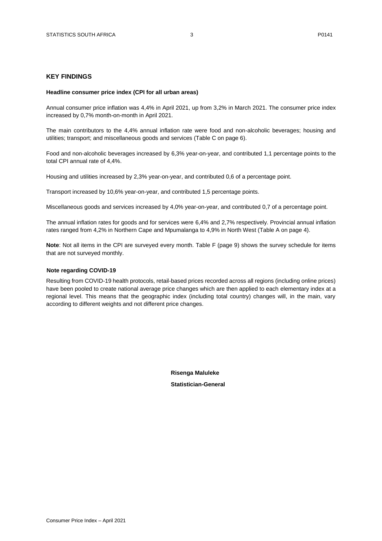## <span id="page-2-0"></span>**KEY FINDINGS**

#### **Headline consumer price index (CPI for all urban areas)**

Annual consumer price inflation was 4,4% in April 2021, up from 3,2% in March 2021. The consumer price index increased by 0,7% month-on-month in April 2021.

The main contributors to the 4,4% annual inflation rate were food and non-alcoholic beverages; housing and utilities; transport; and miscellaneous goods and services (Table C on page 6).

Food and non-alcoholic beverages increased by 6,3% year-on-year, and contributed 1,1 percentage points to the total CPI annual rate of 4,4%.

Housing and utilities increased by 2,3% year-on-year, and contributed 0,6 of a percentage point.

Transport increased by 10,6% year-on-year, and contributed 1,5 percentage points.

Miscellaneous goods and services increased by 4,0% year-on-year, and contributed 0,7 of a percentage point.

The annual inflation rates for goods and for services were 6,4% and 2,7% respectively. Provincial annual inflation rates ranged from 4,2% in Northern Cape and Mpumalanga to 4,9% in North West (Table A on page 4).

**Note**: Not all items in the CPI are surveyed every month. Table F (page 9) shows the survey schedule for items that are not surveyed monthly.

#### <span id="page-2-1"></span>**Note regarding COVID-19**

<span id="page-2-2"></span>Resulting from COVID-19 health protocols, retail-based prices recorded across all regions (including online prices) have been pooled to create national average price changes which are then applied to each elementary index at a regional level. This means that the geographic index (including total country) changes will, in the main, vary according to different weights and not different price changes.

> **Risenga Maluleke Statistician-General**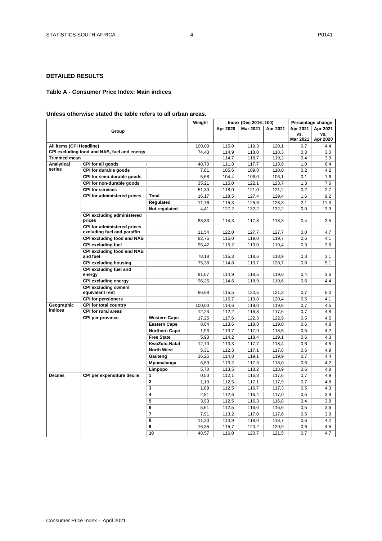## **DETAILED RESULTS**

#### <span id="page-3-1"></span><span id="page-3-0"></span>**Table A - Consumer Price Index: Main indices**

## **Unless otherwise stated the table refers to all urban areas.**

|                          |                                                            |                          | Weight         | Index (Dec 2016=100) |                |                | Percentage change |                 |  |
|--------------------------|------------------------------------------------------------|--------------------------|----------------|----------------------|----------------|----------------|-------------------|-----------------|--|
|                          | Group                                                      |                          |                | Apr 2020             | Mar 2021       | Apr 2021       | Apr 2021          | Apr 2021        |  |
|                          |                                                            |                          |                |                      |                |                | vs.<br>Mar 2021   | VS.<br>Apr 2020 |  |
| All items (CPI Headline) |                                                            |                          | 100,00         | 115,0                | 119,3          | 120,1          | 0.7               | 4,4             |  |
|                          | CPI excluding food and NAB, fuel and energy                |                          | 74,43          | 114,9                | 118,0          | 118,3          | 0,3               | 3,0             |  |
| <b>Trimmed mean</b>      |                                                            |                          |                | 114,7                | 118,7          | 119,2          | 0,4               | 3,9             |  |
| Analytical               | CPI for all goods                                          |                          | 48,70          | 111,8                | 117,7          | 118,9          | 1,0               | 6,4             |  |
| series                   | CPI for durable goods                                      |                          | 7,81           | 105,6                | 109.8          | 110.0          | 0,2               | 4,2             |  |
|                          | CPI for semi-durable goods                                 |                          | 5,68           | 104,4                | 106,0          | 106,1          | 0,1               | 1,6             |  |
|                          | CPI for non-durable goods                                  |                          | 35,21          | 115,0                | 122,1          | 123.7          | 1,3               | 7,6             |  |
|                          | <b>CPI for services</b>                                    |                          | 51,30          | 118,0                | 121,0          | 121,2          | 0,2               | 2,7             |  |
|                          | CPI for administered prices                                | Total                    | 16,17          | 118,5                | 127,4          | 129,4          | 1,6               | 9,2             |  |
|                          |                                                            | Regulated                | 11,76          | 115,3                | 125,6          | 128,3          | 2,1               | 11,3            |  |
|                          |                                                            | Not regulated            | 4,41           | 127,2                | 132,2          | 132,2          | 0, 0              | 3,9             |  |
|                          | <b>CPI excluding administered</b><br>prices                |                          | 83,83          | 114,3                | 117,8          | 118,3          | 0,4               | 3,5             |  |
|                          | CPI for administered prices<br>excluding fuel and paraffin |                          | 11,54          | 122,0                | 127,7          | 127,7          | 0,0               | 4,7             |  |
|                          | <b>CPI excluding food and NAB</b>                          |                          | 82.76          | 115,0                | 119,0          | 119.7          | 0,6               | 4,1             |  |
|                          | <b>CPI excluding fuel</b>                                  |                          | 95,42          | 115,2                | 119,0          | 119,4          | 0,3               | 3,6             |  |
|                          | <b>CPI excluding food and NAB</b><br>and fuel              |                          | 78,18          | 115,3                | 118,6          | 118,9          | 0,3               | 3,1             |  |
|                          | <b>CPI excluding housing</b>                               |                          | 75,38          | 114,8                | 119,7          | 120,7          | 0,8               | 5,1             |  |
|                          | CPI excluding fuel and                                     |                          |                |                      |                |                |                   |                 |  |
|                          | energy                                                     |                          | 91,67          | 114,9                | 118,5          | 119,0          | 0,4               | 3,6             |  |
|                          | <b>CPI excluding energy</b>                                |                          | 96,25          | 114,6                | 118,9          | 119,6          | 0,6               | 4,4             |  |
|                          | <b>CPI excluding owners'</b><br>equivalent rent            |                          | 86,68          | 115,5                | 120,5          | 121,3          | 0,7               | 5,0             |  |
|                          | <b>CPI for pensioners</b>                                  |                          |                | 115,7                | 119,8          | 120,4          | 0.5               | 4,1             |  |
| Geographic               | <b>CPI for total country</b>                               |                          | 100,00         | 114,6                | 119,0          | 119,8          | 0,7               | 4,5             |  |
| indices                  | <b>CPI for rural areas</b>                                 |                          | 12,23          | 112,2                | 116,8          | 117,6          | 0,7               | 4,8             |  |
|                          | CPI per province                                           | <b>Western Cape</b>      | 17,25          | 117,6                | 122,3          | 122,9          | 0,5               | 4,5             |  |
|                          |                                                            | <b>Eastern Cape</b>      | 8,04           | 113,6                | 118,3          | 119,0          | 0,6               | 4,8             |  |
|                          |                                                            | <b>Northern Cape</b>     | 1,93           | 113,7                | 117,9          | 118,5          | 0,5               | 4,2             |  |
|                          |                                                            | <b>Free State</b>        | 5,93           | 114,2                | 118,4          | 119,1          | 0,6               | 4,3             |  |
|                          |                                                            | KwaZulu-Natal            | 12,70          | 113,3                | 117,7          | 118,4          | 0,6               | 4,5             |  |
|                          |                                                            | <b>North West</b>        | 5,31           | 112,3                | 117,1          | 117,8          | 0,6               | 4,9             |  |
|                          |                                                            | Gauteng                  | 36,25          | 114,8                | 119,1          | 119,9          | 0,7               | 4,4             |  |
|                          |                                                            | Mpumalanga               | 6,89           | 113,2                | 117,3          | 118,0          | 0,6               | 4,2             |  |
|                          |                                                            | Limpopo                  | 5,70           | 113,5                | 118,2          | 118,9          | 0,6               | 4,8             |  |
| <b>Deciles</b>           | CPI per expenditure decile                                 | 1                        | 0,50           | 112,1                | 116,8          | 117,6          | 0,7               | 4,9             |  |
|                          |                                                            | $\mathbf{2}$             | 1,13           | 112,5                | 117,1          | 117,9          | 0,7               | 4,8             |  |
|                          |                                                            | $\overline{\mathbf{3}}$  | 1,89           | 112,5                | 116,7          | 117,3          | 0.5               | 4,3             |  |
|                          |                                                            | 4                        | 2,81           | 112,6                | 116,4          | 117,0          | 0,5               | 3,9             |  |
|                          |                                                            | 5                        | 3,93           | 112,5                | 116,3          | 116,8          | 0,4               | 3,8             |  |
|                          |                                                            | 6                        | 5,61           | 112,5                | 116,0          | 116,6          | 0,5               | 3,6             |  |
|                          |                                                            | $\overline{\phantom{a}}$ | 7,91           | 113,2                | 117,0          | 117,6          | 0,5               | 3,9             |  |
|                          |                                                            | 8                        | 11,30          | 113,9                | 118,0          | 118,7          | 0,6               | 4,2             |  |
|                          |                                                            | 9<br>10                  | 16,35<br>48,57 | 115,7<br>116,0       | 120,2<br>120,7 | 120,9<br>121,5 | 0,6<br>0,7        | 4,5<br>4,7      |  |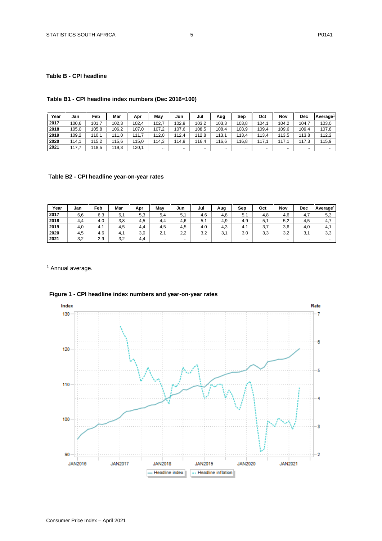## **Table B - CPI headline**

## **Table B1 - CPI headline index numbers (Dec 2016=100)**

| Year | Jan   | Feb   | Mar   | Apr   | Mav   | Jun      | Jul       | Aug      | Sep   | Oct       | Nov       | Dec      | Average <sup>1</sup> |
|------|-------|-------|-------|-------|-------|----------|-----------|----------|-------|-----------|-----------|----------|----------------------|
| 2017 | 100.6 | 101,7 | 102.3 | 102,4 | 102.  | 102.9    | 103.2     | 103,3    | 103.8 | 104,1     | 104,2     | 104,     | 103,0                |
| 2018 | 105,0 | 105,8 | 106,2 | 107,0 | 107,2 | 107.6    | 108,5     | 108,4    | 108.9 | 109,4     | 109.6     | 109,4    | 107,8                |
| 2019 | 109.2 | 110.1 | 111.0 | 111,7 | 112.0 | 112.4    | 112.8     | 113.1    | 113.4 | 113,4     | 113.5     | 113.8    | 112.2                |
| 2020 | 114.1 | 115.2 | 115.6 | 115,0 | 114.3 | 114.9    | 116.4     | 116,6    | 116.8 | 117.1     | 117.1     | 117.3    | 115.9                |
| 2021 | 117.7 | 118,5 | 119,3 | 120,1 |       | $\cdots$ | $\cdot$ . | $\cdots$ |       | $\cdot$ . | $\cdot$ . | $\cdots$ | $\cdot$ .            |

## **Table B2 - CPI headline year-on-year rates**

| Year | Jan | Feb                   | Mar | Apr | May          | Jun | Jul       | Aug       | Sep       | Oct      | Nov       | Dec                    | Average <sup>1</sup> |
|------|-----|-----------------------|-----|-----|--------------|-----|-----------|-----------|-----------|----------|-----------|------------------------|----------------------|
| 2017 | 6,6 | 6,3                   | 6.1 | 5,3 | 5.4          | 5,  | 4,6       | 4,8       | 5.1       | 4.8      | 4,6       | 4.7                    | 5,3                  |
| 2018 | 4,4 | 4,0                   | 3,8 | 4.5 | 4.4          | 4,6 | 5,1       | 4,9       | 4.9       | 5,1      | 5,2       | 4,5                    | 4,7                  |
| 2019 | 4,0 | $\overline{ }$<br>4.1 | 4,5 | 4.4 | 4,5          | 4.5 | 4,0       | 4,3       | 4. .      | 3,7      | 3,6       | 4,0                    | 4.1                  |
| 2020 | 4.5 | 4,6                   | 4.1 | 3,0 | $\sim$<br>۷. | 2.2 | 3,2       | 3,1       | 3,0       | 3,3      | 3,2       | $\sim$ $\lambda$<br>◡. | 3,3                  |
| 2021 | 3,2 | 2,9                   | 3,2 | 4.4 | $\ddotsc$    |     | $\ddotsc$ | $\cdot$ . | $\cdot$ . | $\cdots$ | $\cdot$ . | $\cdot$ .              | $\cdots$             |

<sup>1</sup> Annual average.



## **Figure 1 - CPI headline index numbers and year-on-year rates**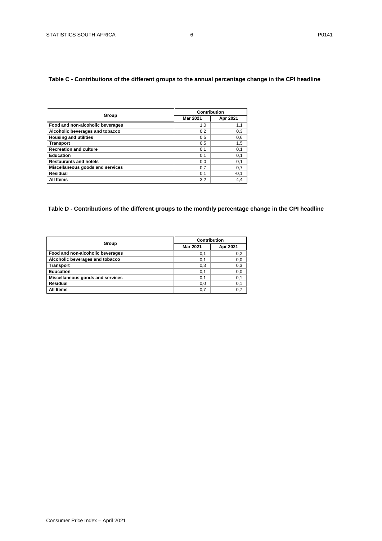## <span id="page-5-1"></span><span id="page-5-0"></span>**Table C - Contributions of the different groups to the annual percentage change in the CPI headline**

|                                  | Contribution    |          |  |  |  |
|----------------------------------|-----------------|----------|--|--|--|
| Group                            | <b>Mar 2021</b> | Apr 2021 |  |  |  |
| Food and non-alcoholic beverages | 1,0             | 1,1      |  |  |  |
| Alcoholic beverages and tobacco  | 0,2             | 0,3      |  |  |  |
| <b>Housing and utilities</b>     | 0.5             | 0,6      |  |  |  |
| <b>Transport</b>                 | 0,5             | 1,5      |  |  |  |
| <b>Recreation and culture</b>    | 0,1             | 0,1      |  |  |  |
| Education                        | 0,1             | 0,1      |  |  |  |
| <b>Restaurants and hotels</b>    | 0,0             | 0,1      |  |  |  |
| Miscellaneous goods and services | 0,7             | 0,7      |  |  |  |
| Residual                         | 0,1             | $-0,1$   |  |  |  |
| All Items                        | 3,2             | 4,4      |  |  |  |

## **Table D - Contributions of the different groups to the monthly percentage change in the CPI headline**

|                                  |          | <b>Contribution</b> |
|----------------------------------|----------|---------------------|
| Group                            | Mar 2021 | Apr 2021            |
| Food and non-alcoholic beverages | 0,1      | 0,2                 |
| Alcoholic beverages and tobacco  | 0,1      | 0,0                 |
| <b>Transport</b>                 | 0,3      | 0,3                 |
| Education                        | 0,1      | 0,0                 |
| Miscellaneous goods and services | 0.1      | 0,1                 |
| Residual                         | 0.0      | 0,1                 |
| All Items                        | 0.7      | 0.7                 |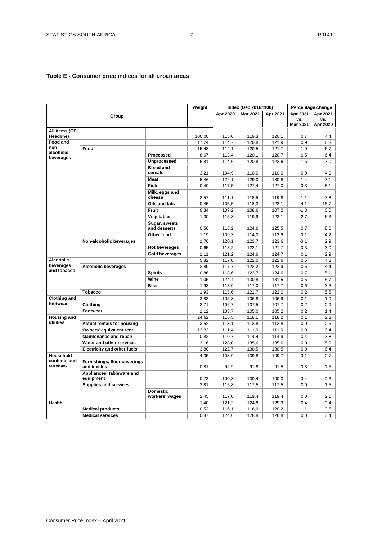## <span id="page-6-0"></span>**Table E - Consumer price indices for all urban areas**

|                          |                                              |                               | Weight |          | Index (Dec 2016=100) |          |          | Percentage change |
|--------------------------|----------------------------------------------|-------------------------------|--------|----------|----------------------|----------|----------|-------------------|
|                          |                                              |                               |        | Apr 2020 | <b>Mar 2021</b>      | Apr 2021 | Apr 2021 | Apr 2021          |
|                          | Group                                        |                               |        |          |                      |          | VS.      | VS.               |
|                          |                                              |                               |        |          |                      |          | Mar 2021 | Apr 2020          |
| All items (CPI           |                                              |                               |        |          |                      |          |          |                   |
| Headline)                |                                              |                               | 100,00 | 115.0    | 119.3                | 120.1    | 0.7      | 4.4               |
| Food and<br>non-         |                                              |                               | 17,24  | 114,7    | 120,8                | 121,9    | 0,9      | 6,3               |
| alcoholic                | Food                                         |                               | 15,48  | 114,1    | 120,5                | 121,7    | 1,0      | 6,7               |
| beverages                |                                              | Processed                     | 8,67   | 113,4    | 120,1                | 120,7    | 0,5      | 6,4               |
|                          |                                              | <b>Unprocessed</b>            | 6,81   | 114,6    | 120,8                | 122,6    | 1,5      | 7,0               |
|                          |                                              | <b>Bread and</b><br>cereals   | 3,21   | 104,9    | 110,0                | 110,0    | 0,0      | 4,9               |
|                          |                                              | <b>Meat</b>                   | 5,46   | 122,1    | 129,0                | 130,8    | 1,4      | 7,1               |
|                          |                                              | <b>Fish</b>                   | 0,40   | 117,5    | 127,4                | 127,0    | $-0,3$   | 8.1               |
|                          |                                              | Milk, eggs and<br>cheese      | 2,57   | 111,1    | 118,5                | 119,8    | 1,1      | 7,8               |
|                          |                                              | Oils and fats                 | 0,45   | 105,5    | 118,3                | 123,1    | 4,1      | 16,7              |
|                          |                                              | <b>Fruit</b>                  | 0,34   | 107,2    | 108,6                | 107,2    | $-1,3$   | 0,0               |
|                          |                                              | Vegetables                    | 1,30   | 115,8    | 119,9                | 123,1    | 2,7      | 6,3               |
|                          |                                              | Sugar, sweets<br>and desserts | 0,56   | 116,2    | 124,6                | 125,5    | 0,7      | 8,0               |
|                          |                                              | Other food                    | 1,19   | 109,3    | 114,0                | 113,9    | $-0,1$   | 4,2               |
|                          | Non-alcoholic beverages                      |                               | 1,76   | 120,1    | 123,7                | 123,6    | $-0,1$   | 2,9               |
|                          |                                              | <b>Hot beverages</b>          | 0,65   | 118,2    | 122,1                | 121,7    | $-0,3$   | 3,0               |
|                          |                                              | <b>Cold beverages</b>         | 1.11   | 121.2    | 124.6                | 124.7    | 0.1      | 2.9               |
| <b>Alcoholic</b>         |                                              |                               | 5,82   | 117,0    | 122,0                | 122,6    | 0,5      | 4,8               |
| beverages                | <b>Alcoholic beverages</b>                   |                               | 3,89   | 117,7    | 122,2                | 122,9    | 0,6      | 4,4               |
| and tobacco              |                                              | <b>Spirits</b>                | 0,86   | 118,6    | 123,7                | 124,6    | 0,7      | 5,1               |
|                          |                                              | Wine                          | 1,05   | 124,4    | 130,8                | 131,5    | 0,5      | 5,7               |
|                          |                                              | <b>Beer</b>                   | 1,98   | 113,9    | 117,0                | 117,7    | 0,6      | 3,3               |
|                          | <b>Tobacco</b>                               |                               | 1,93   | 115,6    | 121,7                | 122,0    | 0,2      | 5,5               |
| <b>Clothing and</b>      |                                              |                               | 3,83   | 105,8    | 106,8                | 106,9    | 0,1      | 1,0               |
| footwear                 | Clothing                                     |                               | 2,71   | 106,7    | 107,5                | 107,7    | 0,2      | 0,9               |
|                          | Footwear                                     |                               | 1,12   | 103,7    | 105,0                | 105,2    | 0,2      | 1,4               |
| <b>Housing and</b>       |                                              |                               | 24,62  | 115,5    | 118,1                | 118,2    | 0,1      | 2,3               |
| utilities                | <b>Actual rentals for housing</b>            |                               | 3,52   | 113,1    | 113,8                | 113,8    | 0,0      | 0,6               |
|                          | Owners' equivalent rent                      |                               | 13,32  | 111,4    | 111,9                | 111,9    | 0,0      | 0,4               |
|                          | <b>Maintenance and repair</b>                |                               | 0.82   | 110,7    | 114,4                | 114,9    | 0.4      | 3,8               |
|                          | Water and other services                     |                               | 3,16   | 128,0    | 135,6                | 135,6    | 0,0      | 5,9               |
|                          | <b>Electricity and other fuels</b>           |                               | 3,80   | 122,7    | 130,5                | 130,5    | 0,0      | 6,4               |
| Household                |                                              |                               | 4,35   | 108,9    | 109,8                | 109,7    | $-0,1$   | 0,7               |
| contents and<br>services | Furnishings, floor coverings<br>and textiles |                               | 0,81   | 92,9     | 91,8                 | 91,5     | $-0,3$   | $-1,5$            |
|                          | Appliances, tableware and<br>equipment       |                               | 0,73   | 100,3    | 100,4                | 100.0    | $-0,4$   | $-0.3$            |
|                          | <b>Supplies and services</b>                 |                               | 2,81   | 115,8    | 117,5                | 117,5    | 0,0      | 1,5               |
|                          |                                              | <b>Domestic</b>               |        |          |                      |          |          |                   |
|                          |                                              | workers' wages                | 2,45   | 117,0    | 119,4                | 119,4    | 0.0      | 2,1               |
| <b>Health</b>            |                                              |                               | 1,40   | 121,2    | 124,8                | 125,3    | 0,4      | 3.4               |
|                          |                                              |                               |        |          |                      |          |          |                   |
|                          | <b>Medical products</b>                      |                               | 0,53   | 116,1    | 118,9<br>128,8       | 120,2    | 1,1      | 3,5               |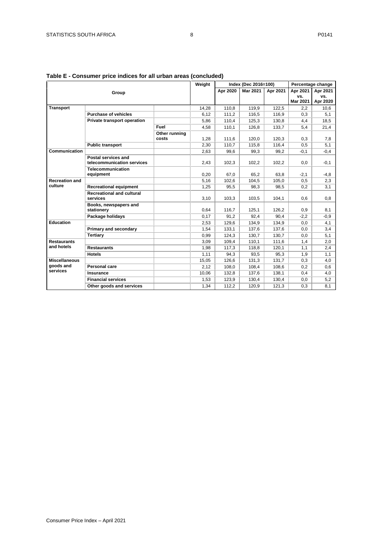| Table E - Consumer price indices for all urban areas (concluded) |  |
|------------------------------------------------------------------|--|
|                                                                  |  |

|                       |                                                   |               | Weight       |          | Index (Dec 2016=100) |          |                 | Percentage change |
|-----------------------|---------------------------------------------------|---------------|--------------|----------|----------------------|----------|-----------------|-------------------|
|                       | Group                                             |               |              | Apr 2020 | <b>Mar 2021</b>      | Apr 2021 | Apr 2021        | Apr 2021          |
|                       |                                                   |               |              |          |                      |          | VS.             | VS.               |
|                       |                                                   |               |              |          |                      |          | <b>Mar 2021</b> | Apr 2020          |
| <b>Transport</b>      |                                                   |               | 14,28        | 110,8    | 119,9                | 122,5    | 2,2             | 10,6              |
|                       | <b>Purchase of vehicles</b>                       |               | 6,12         | 111,2    | 116,5                | 116,9    | 0,3             | 5,1               |
|                       | Private transport operation                       |               | 5,86         | 110.4    | 125,3                | 130.8    | 4,4             | 18.5              |
|                       |                                                   | Fuel          | 4,58         | 110,1    | 126,8                | 133,7    | 5,4             | 21,4              |
|                       |                                                   | Other running |              |          |                      |          |                 |                   |
|                       |                                                   | costs         | 1,28         | 111,6    | 120,0                | 120.3    | 0,3             | 7,8               |
|                       | <b>Public transport</b>                           |               | 2,30         | 110,7    | 115,8                | 116,4    | 0,5             | 5,1               |
| Communication         |                                                   |               | 2,63         | 99,6     | 99,3                 | 99,2     | $-0,1$          | $-0,4$            |
|                       | Postal services and<br>telecommunication services |               | 2,43         | 102,3    | 102,2                | 102,2    | 0,0             | $-0,1$            |
|                       | <b>Telecommunication</b>                          |               |              |          |                      |          |                 |                   |
|                       | equipment                                         |               | 0,20         | 67,0     | 65,2                 | 63,8     | $-2,1$          | $-4,8$            |
| <b>Recreation and</b> |                                                   |               | 5,16         | 102,6    | 104,5                | 105,0    | 0,5             | 2,3               |
| culture               | <b>Recreational equipment</b>                     |               | 1,25         | 95,5     | 98,3                 | 98,5     | 0,2             | 3,1               |
|                       | <b>Recreational and cultural</b>                  |               |              |          |                      |          |                 |                   |
|                       | services                                          |               | 3,10         | 103,3    | 103,5                | 104,1    | 0,6             | 0.8               |
|                       | Books, newspapers and                             |               |              | 116,7    |                      | 126,2    |                 |                   |
|                       | stationery<br>Package holidays                    |               | 0,64<br>0,17 | 91,2     | 125,1<br>92.4        | 90,4     | 0,9<br>$-2,2$   | 8,1<br>$-0.9$     |
| Education             |                                                   |               | 2,53         | 129,6    | 134,9                | 134,9    | 0,0             | 4,1               |
|                       | Primary and secondary                             |               | 1,54         | 133,1    | 137,6                | 137,6    | 0,0             | 3,4               |
|                       | <b>Tertiary</b>                                   |               | 0,99         | 124,3    | 130,7                | 130,7    | 0,0             | 5,1               |
| <b>Restaurants</b>    |                                                   |               | 3,09         | 109,4    | 110,1                | 111,6    | 1,4             | 2,0               |
| and hotels            | <b>Restaurants</b>                                |               | 1,98         | 117,3    | 118,8                | 120,1    | 1,1             | 2,4               |
|                       | <b>Hotels</b>                                     |               | 1,11         | 94,3     | 93,5                 | 95,3     | 1,9             | 1,1               |
| <b>Miscellaneous</b>  |                                                   |               | 15,05        | 126,6    | 131,3                | 131,7    | 0,3             | 4,0               |
| goods and             | Personal care                                     |               | 2,12         | 108,0    | 108,4                | 108,6    | 0,2             | 0,6               |
| services              | Insurance                                         |               | 10,06        |          |                      | 138,1    | 0,4             |                   |
|                       | <b>Financial services</b>                         |               |              | 132,8    | 137,6                |          |                 | 4,0               |
|                       |                                                   |               | 1,53         | 123,9    | 130,4                | 130,4    | 0,0             | 5,2               |
|                       | Other goods and services                          |               | 1,34         | 112.2    | 120,9                | 121,3    | 0,3             | 8,1               |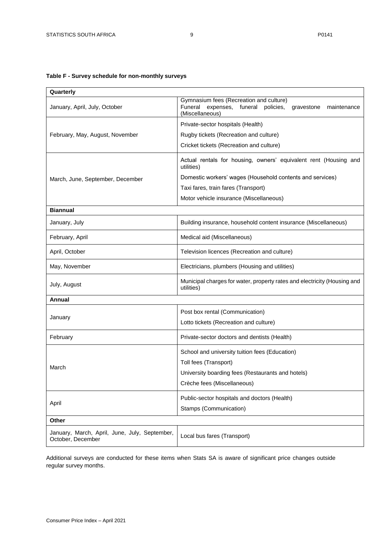## <span id="page-8-0"></span>**Table F - Survey schedule for non-monthly surveys**

| Quarterly                                                          |                                                                                                                                      |  |  |  |  |  |
|--------------------------------------------------------------------|--------------------------------------------------------------------------------------------------------------------------------------|--|--|--|--|--|
| January, April, July, October                                      | Gymnasium fees (Recreation and culture)<br>Funeral<br>expenses, funeral<br>policies,<br>maintenance<br>gravestone<br>(Miscellaneous) |  |  |  |  |  |
|                                                                    | Private-sector hospitals (Health)                                                                                                    |  |  |  |  |  |
| February, May, August, November                                    | Rugby tickets (Recreation and culture)                                                                                               |  |  |  |  |  |
|                                                                    | Cricket tickets (Recreation and culture)                                                                                             |  |  |  |  |  |
|                                                                    | Actual rentals for housing, owners' equivalent rent (Housing and<br>utilities)                                                       |  |  |  |  |  |
| March, June, September, December                                   | Domestic workers' wages (Household contents and services)                                                                            |  |  |  |  |  |
|                                                                    | Taxi fares, train fares (Transport)                                                                                                  |  |  |  |  |  |
|                                                                    | Motor vehicle insurance (Miscellaneous)                                                                                              |  |  |  |  |  |
| <b>Biannual</b>                                                    |                                                                                                                                      |  |  |  |  |  |
| January, July                                                      | Building insurance, household content insurance (Miscellaneous)                                                                      |  |  |  |  |  |
| February, April                                                    | Medical aid (Miscellaneous)                                                                                                          |  |  |  |  |  |
| April, October                                                     | Television licences (Recreation and culture)                                                                                         |  |  |  |  |  |
| May, November                                                      | Electricians, plumbers (Housing and utilities)                                                                                       |  |  |  |  |  |
| July, August                                                       | Municipal charges for water, property rates and electricity (Housing and<br>utilities)                                               |  |  |  |  |  |
| <b>Annual</b>                                                      |                                                                                                                                      |  |  |  |  |  |
|                                                                    | Post box rental (Communication)                                                                                                      |  |  |  |  |  |
| January                                                            | Lotto tickets (Recreation and culture)                                                                                               |  |  |  |  |  |
| February                                                           | Private-sector doctors and dentists (Health)                                                                                         |  |  |  |  |  |
|                                                                    | School and university tuition fees (Education)                                                                                       |  |  |  |  |  |
| March                                                              | Toll fees (Transport)                                                                                                                |  |  |  |  |  |
|                                                                    | University boarding fees (Restaurants and hotels)                                                                                    |  |  |  |  |  |
|                                                                    | Crèche fees (Miscellaneous)                                                                                                          |  |  |  |  |  |
|                                                                    | Public-sector hospitals and doctors (Health)                                                                                         |  |  |  |  |  |
| April                                                              | Stamps (Communication)                                                                                                               |  |  |  |  |  |
| Other                                                              |                                                                                                                                      |  |  |  |  |  |
| January, March, April, June, July, September,<br>October, December | Local bus fares (Transport)                                                                                                          |  |  |  |  |  |

Additional surveys are conducted for these items when Stats SA is aware of significant price changes outside regular survey months.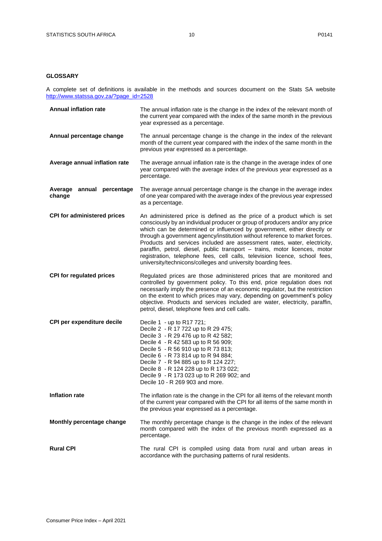## <span id="page-9-0"></span>**GLOSSARY**

A complete set of definitions is available in the methods and sources document on the Stats SA website [http://www.statssa.gov.za/?page\\_id=2528](http://www.statssa.gov.za/?page_id=2528)

| <b>Annual inflation rate</b>        | The annual inflation rate is the change in the index of the relevant month of<br>the current year compared with the index of the same month in the previous<br>year expressed as a percentage.                                                                                                                                                                                                                                                                                                                                                                                                                            |
|-------------------------------------|---------------------------------------------------------------------------------------------------------------------------------------------------------------------------------------------------------------------------------------------------------------------------------------------------------------------------------------------------------------------------------------------------------------------------------------------------------------------------------------------------------------------------------------------------------------------------------------------------------------------------|
| Annual percentage change            | The annual percentage change is the change in the index of the relevant<br>month of the current year compared with the index of the same month in the<br>previous year expressed as a percentage.                                                                                                                                                                                                                                                                                                                                                                                                                         |
| Average annual inflation rate       | The average annual inflation rate is the change in the average index of one<br>year compared with the average index of the previous year expressed as a<br>percentage.                                                                                                                                                                                                                                                                                                                                                                                                                                                    |
| Average annual percentage<br>change | The average annual percentage change is the change in the average index<br>of one year compared with the average index of the previous year expressed<br>as a percentage.                                                                                                                                                                                                                                                                                                                                                                                                                                                 |
| <b>CPI for administered prices</b>  | An administered price is defined as the price of a product which is set<br>consciously by an individual producer or group of producers and/or any price<br>which can be determined or influenced by government, either directly or<br>through a government agency/institution without reference to market forces.<br>Products and services included are assessment rates, water, electricity,<br>paraffin, petrol, diesel, public transport - trains, motor licences, motor<br>registration, telephone fees, cell calls, television licence, school fees,<br>university/technicons/colleges and university boarding fees. |
| <b>CPI for regulated prices</b>     | Regulated prices are those administered prices that are monitored and<br>controlled by government policy. To this end, price regulation does not<br>necessarily imply the presence of an economic regulator, but the restriction<br>on the extent to which prices may vary, depending on government's policy<br>objective. Products and services included are water, electricity, paraffin,<br>petrol, diesel, telephone fees and cell calls.                                                                                                                                                                             |
| CPI per expenditure decile          | Decile 1 - up to R17 721;<br>Decile 2 - R 17 722 up to R 29 475;<br>Decile 3 - R 29 476 up to R 42 582;<br>Decile 4 - R 42 583 up to R 56 909;<br>Decile 5 - R 56 910 up to R 73 813;<br>Decile 6 - R 73 814 up to R 94 884;<br>Decile 7 - R 94 885 up to R 124 227;<br>Decile 8 - R 124 228 up to R 173 022;<br>Decile 9 - R 173 023 up to R 269 902; and<br>Decile 10 - R 269 903 and more.                                                                                                                                                                                                                             |
| <b>Inflation rate</b>               | The inflation rate is the change in the CPI for all items of the relevant month<br>of the current year compared with the CPI for all items of the same month in<br>the previous year expressed as a percentage.                                                                                                                                                                                                                                                                                                                                                                                                           |
| Monthly percentage change           | The monthly percentage change is the change in the index of the relevant<br>month compared with the index of the previous month expressed as a<br>percentage.                                                                                                                                                                                                                                                                                                                                                                                                                                                             |
| <b>Rural CPI</b>                    | The rural CPI is compiled using data from rural and urban areas in<br>accordance with the purchasing patterns of rural residents.                                                                                                                                                                                                                                                                                                                                                                                                                                                                                         |